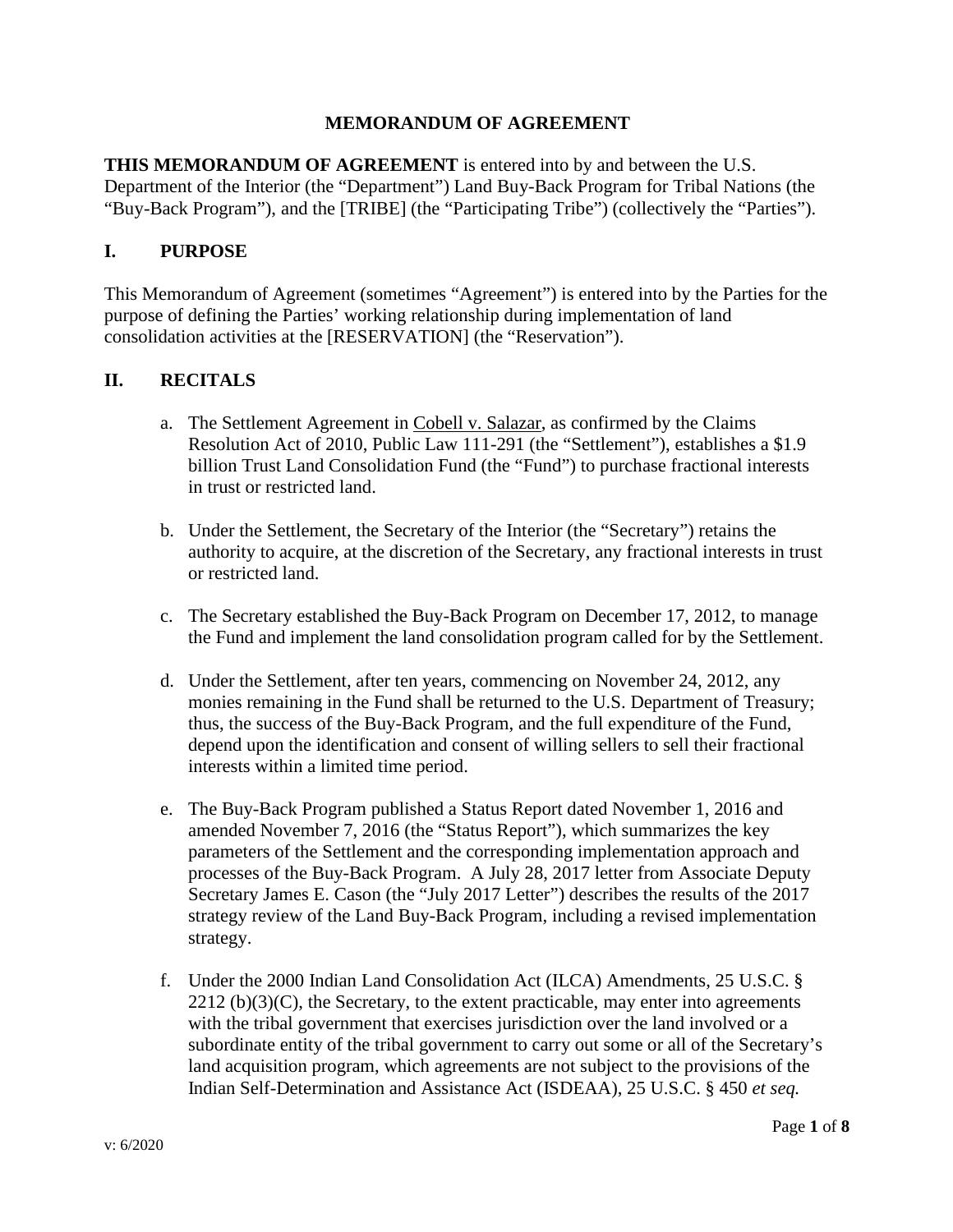#### **MEMORANDUM OF AGREEMENT**

**THIS MEMORANDUM OF AGREEMENT** is entered into by and between the U.S. Department of the Interior (the "Department") Land Buy-Back Program for Tribal Nations (the "Buy-Back Program"), and the [TRIBE] (the "Participating Tribe") (collectively the "Parties").

#### **I. PURPOSE**

This Memorandum of Agreement (sometimes "Agreement") is entered into by the Parties for the purpose of defining the Parties' working relationship during implementation of land consolidation activities at the [RESERVATION] (the "Reservation").

#### **II. RECITALS**

- a. The Settlement Agreement in Cobell v. Salazar, as confirmed by the Claims Resolution Act of 2010, Public Law 111-291 (the "Settlement"), establishes a \$1.9 billion Trust Land Consolidation Fund (the "Fund") to purchase fractional interests in trust or restricted land.
- b. Under the Settlement, the Secretary of the Interior (the "Secretary") retains the authority to acquire, at the discretion of the Secretary, any fractional interests in trust or restricted land.
- c. The Secretary established the Buy-Back Program on December 17, 2012, to manage the Fund and implement the land consolidation program called for by the Settlement.
- d. Under the Settlement, after ten years, commencing on November 24, 2012, any monies remaining in the Fund shall be returned to the U.S. Department of Treasury; thus, the success of the Buy-Back Program, and the full expenditure of the Fund, depend upon the identification and consent of willing sellers to sell their fractional interests within a limited time period.
- e. The Buy-Back Program published a Status Report dated November 1, 2016 and amended November 7, 2016 (the "Status Report"), which summarizes the key parameters of the Settlement and the corresponding implementation approach and processes of the Buy-Back Program. A July 28, 2017 letter from Associate Deputy Secretary James E. Cason (the "July 2017 Letter") describes the results of the 2017 strategy review of the Land Buy-Back Program, including a revised implementation strategy.
- f. Under the 2000 Indian Land Consolidation Act (ILCA) Amendments, 25 U.S.C. §  $2212$  (b)(3)(C), the Secretary, to the extent practicable, may enter into agreements with the tribal government that exercises jurisdiction over the land involved or a subordinate entity of the tribal government to carry out some or all of the Secretary's land acquisition program, which agreements are not subject to the provisions of the Indian Self-Determination and Assistance Act (ISDEAA), 25 U.S.C. § 450 *et seq.*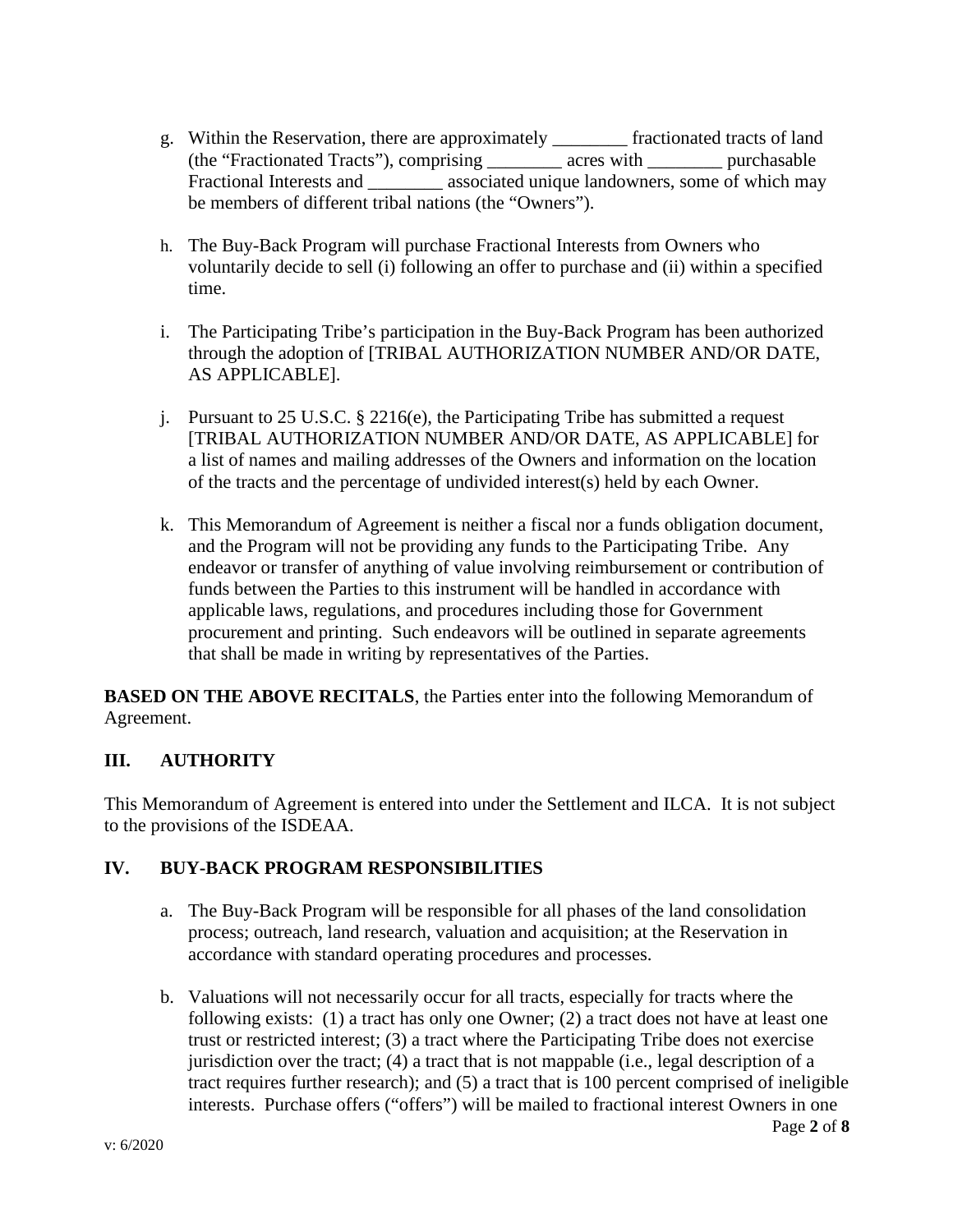- g. Within the Reservation, there are approximately \_\_\_\_\_\_\_\_ fractionated tracts of land (the "Fractionated Tracts"), comprising \_\_\_\_\_\_\_\_ acres with \_\_\_\_\_\_\_\_ purchasable Fractional Interests and \_\_\_\_\_\_\_\_ associated unique landowners, some of which may be members of different tribal nations (the "Owners").
- h. The Buy-Back Program will purchase Fractional Interests from Owners who voluntarily decide to sell (i) following an offer to purchase and (ii) within a specified time.
- i. The Participating Tribe's participation in the Buy-Back Program has been authorized through the adoption of [TRIBAL AUTHORIZATION NUMBER AND/OR DATE, AS APPLICABLE].
- j. Pursuant to 25 U.S.C. § 2216(e), the Participating Tribe has submitted a request [TRIBAL AUTHORIZATION NUMBER AND/OR DATE, AS APPLICABLE] for a list of names and mailing addresses of the Owners and information on the location of the tracts and the percentage of undivided interest(s) held by each Owner.
- k. This Memorandum of Agreement is neither a fiscal nor a funds obligation document, and the Program will not be providing any funds to the Participating Tribe. Any endeavor or transfer of anything of value involving reimbursement or contribution of funds between the Parties to this instrument will be handled in accordance with applicable laws, regulations, and procedures including those for Government procurement and printing. Such endeavors will be outlined in separate agreements that shall be made in writing by representatives of the Parties.

**BASED ON THE ABOVE RECITALS**, the Parties enter into the following Memorandum of Agreement.

# **III. AUTHORITY**

This Memorandum of Agreement is entered into under the Settlement and ILCA. It is not subject to the provisions of the ISDEAA.

## **IV. BUY-BACK PROGRAM RESPONSIBILITIES**

- a. The Buy-Back Program will be responsible for all phases of the land consolidation process; outreach, land research, valuation and acquisition; at the Reservation in accordance with standard operating procedures and processes.
- b. Valuations will not necessarily occur for all tracts, especially for tracts where the following exists: (1) a tract has only one Owner; (2) a tract does not have at least one trust or restricted interest; (3) a tract where the Participating Tribe does not exercise jurisdiction over the tract; (4) a tract that is not mappable (i.e., legal description of a tract requires further research); and (5) a tract that is 100 percent comprised of ineligible interests. Purchase offers ("offers") will be mailed to fractional interest Owners in one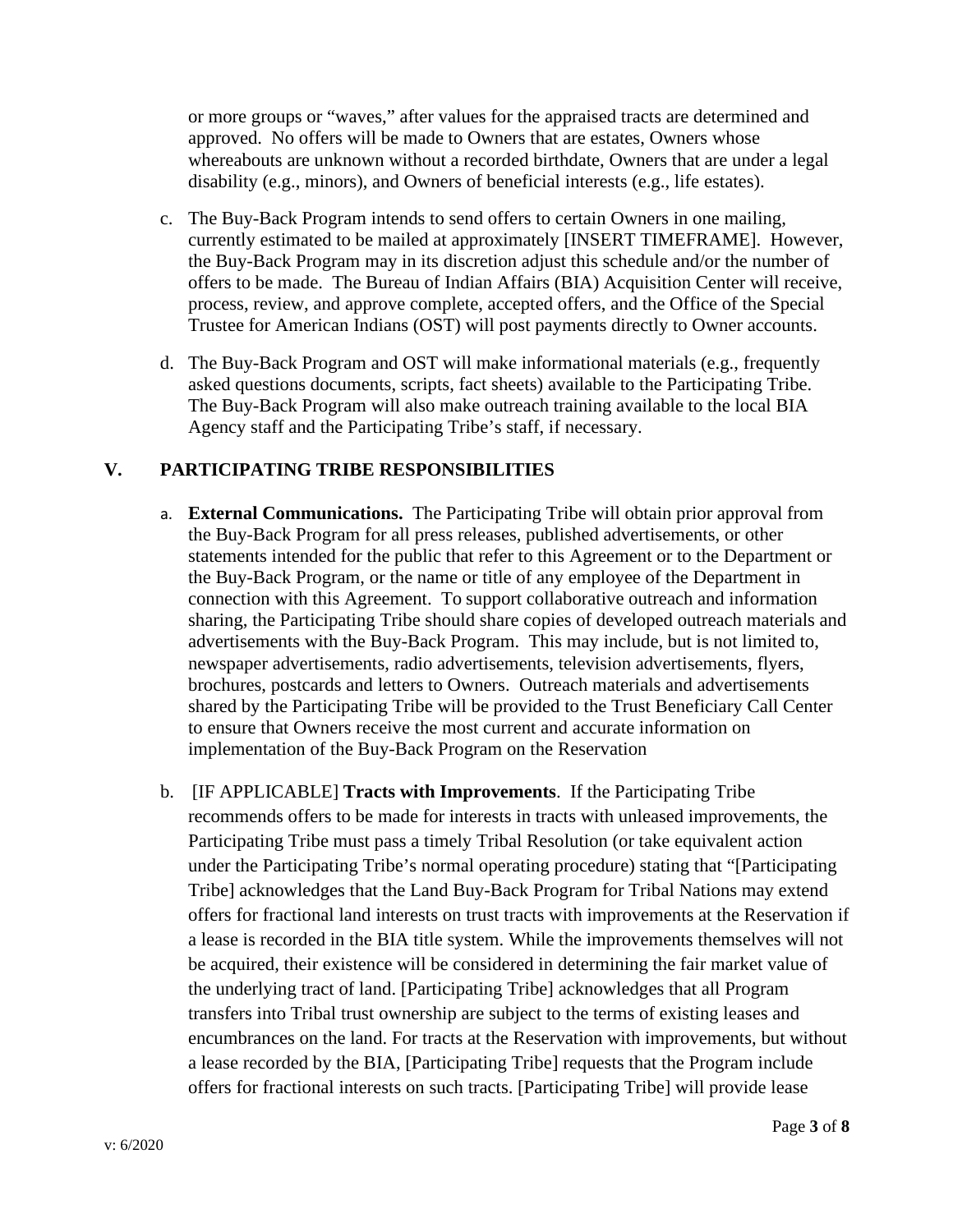or more groups or "waves," after values for the appraised tracts are determined and approved. No offers will be made to Owners that are estates, Owners whose whereabouts are unknown without a recorded birthdate, Owners that are under a legal disability (e.g., minors), and Owners of beneficial interests (e.g., life estates).

- c. The Buy-Back Program intends to send offers to certain Owners in one mailing, currently estimated to be mailed at approximately [INSERT TIMEFRAME]. However, the Buy-Back Program may in its discretion adjust this schedule and/or the number of offers to be made. The Bureau of Indian Affairs (BIA) Acquisition Center will receive, process, review, and approve complete, accepted offers, and the Office of the Special Trustee for American Indians (OST) will post payments directly to Owner accounts.
- d. The Buy-Back Program and OST will make informational materials (e.g., frequently asked questions documents, scripts, fact sheets) available to the Participating Tribe. The Buy-Back Program will also make outreach training available to the local BIA Agency staff and the Participating Tribe's staff, if necessary.

#### **V. PARTICIPATING TRIBE RESPONSIBILITIES**

- a. **External Communications.** The Participating Tribe will obtain prior approval from the Buy-Back Program for all press releases, published advertisements, or other statements intended for the public that refer to this Agreement or to the Department or the Buy-Back Program, or the name or title of any employee of the Department in connection with this Agreement. To support collaborative outreach and information sharing, the Participating Tribe should share copies of developed outreach materials and advertisements with the Buy-Back Program. This may include, but is not limited to, newspaper advertisements, radio advertisements, television advertisements, flyers, brochures, postcards and letters to Owners. Outreach materials and advertisements shared by the Participating Tribe will be provided to the Trust Beneficiary Call Center to ensure that Owners receive the most current and accurate information on implementation of the Buy-Back Program on the Reservation
- b. [IF APPLICABLE] **Tracts with Improvements**. If the Participating Tribe recommends offers to be made for interests in tracts with unleased improvements, the Participating Tribe must pass a timely Tribal Resolution (or take equivalent action under the Participating Tribe's normal operating procedure) stating that "[Participating Tribe] acknowledges that the Land Buy-Back Program for Tribal Nations may extend offers for fractional land interests on trust tracts with improvements at the Reservation if a lease is recorded in the BIA title system. While the improvements themselves will not be acquired, their existence will be considered in determining the fair market value of the underlying tract of land. [Participating Tribe] acknowledges that all Program transfers into Tribal trust ownership are subject to the terms of existing leases and encumbrances on the land. For tracts at the Reservation with improvements, but without a lease recorded by the BIA, [Participating Tribe] requests that the Program include offers for fractional interests on such tracts. [Participating Tribe] will provide lease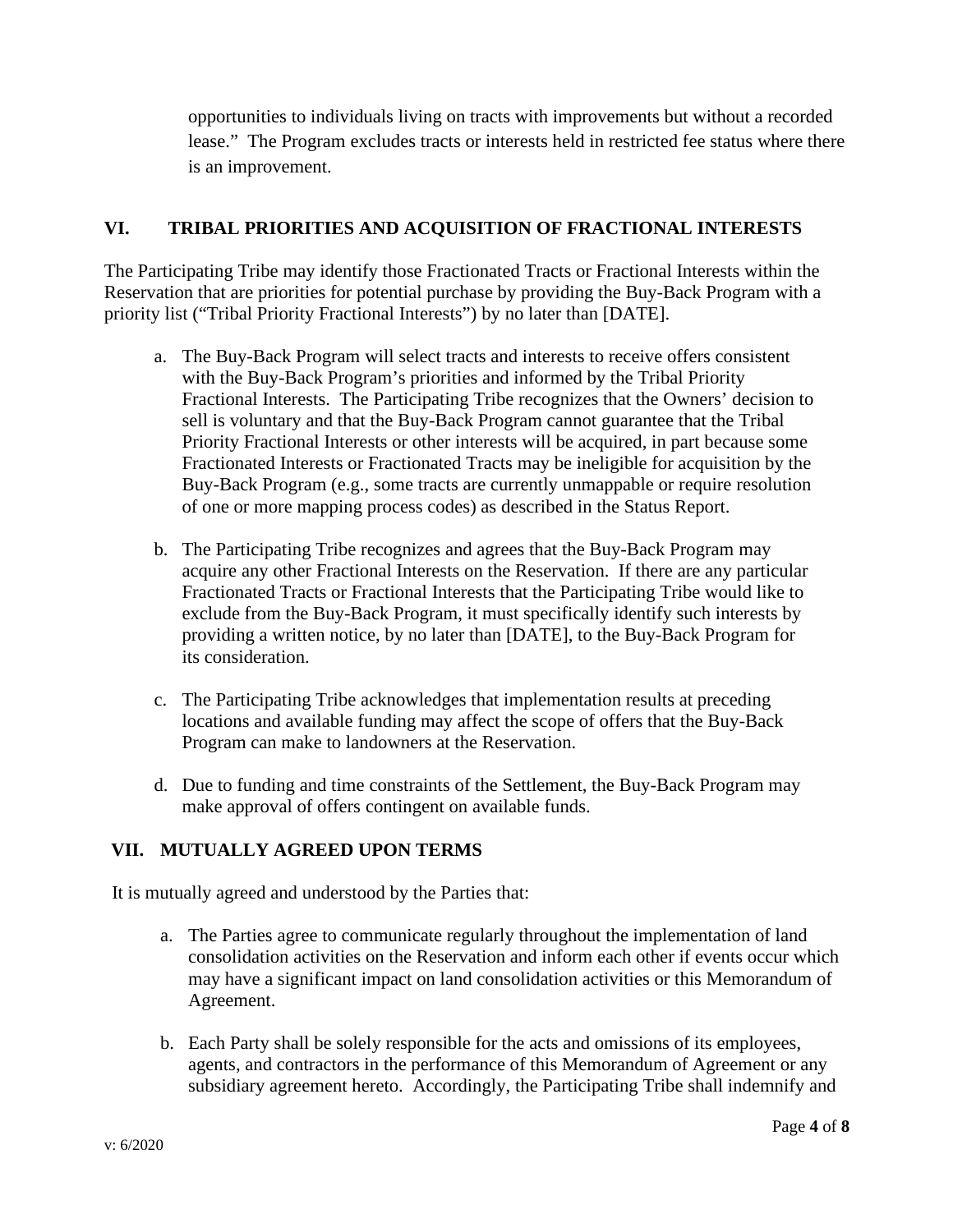opportunities to individuals living on tracts with improvements but without a recorded lease." The Program excludes tracts or interests held in restricted fee status where there is an improvement.

## **VI. TRIBAL PRIORITIES AND ACQUISITION OF FRACTIONAL INTERESTS**

The Participating Tribe may identify those Fractionated Tracts or Fractional Interests within the Reservation that are priorities for potential purchase by providing the Buy-Back Program with a priority list ("Tribal Priority Fractional Interests") by no later than [DATE].

- a. The Buy-Back Program will select tracts and interests to receive offers consistent with the Buy-Back Program's priorities and informed by the Tribal Priority Fractional Interests. The Participating Tribe recognizes that the Owners' decision to sell is voluntary and that the Buy-Back Program cannot guarantee that the Tribal Priority Fractional Interests or other interests will be acquired, in part because some Fractionated Interests or Fractionated Tracts may be ineligible for acquisition by the Buy-Back Program (e.g., some tracts are currently unmappable or require resolution of one or more mapping process codes) as described in the Status Report.
- b. The Participating Tribe recognizes and agrees that the Buy-Back Program may acquire any other Fractional Interests on the Reservation. If there are any particular Fractionated Tracts or Fractional Interests that the Participating Tribe would like to exclude from the Buy-Back Program, it must specifically identify such interests by providing a written notice, by no later than [DATE], to the Buy-Back Program for its consideration.
- c. The Participating Tribe acknowledges that implementation results at preceding locations and available funding may affect the scope of offers that the Buy-Back Program can make to landowners at the Reservation.
- d. Due to funding and time constraints of the Settlement, the Buy-Back Program may make approval of offers contingent on available funds.

## **VII. MUTUALLY AGREED UPON TERMS**

It is mutually agreed and understood by the Parties that:

- a. The Parties agree to communicate regularly throughout the implementation of land consolidation activities on the Reservation and inform each other if events occur which may have a significant impact on land consolidation activities or this Memorandum of Agreement.
- b. Each Party shall be solely responsible for the acts and omissions of its employees, agents, and contractors in the performance of this Memorandum of Agreement or any subsidiary agreement hereto. Accordingly, the Participating Tribe shall indemnify and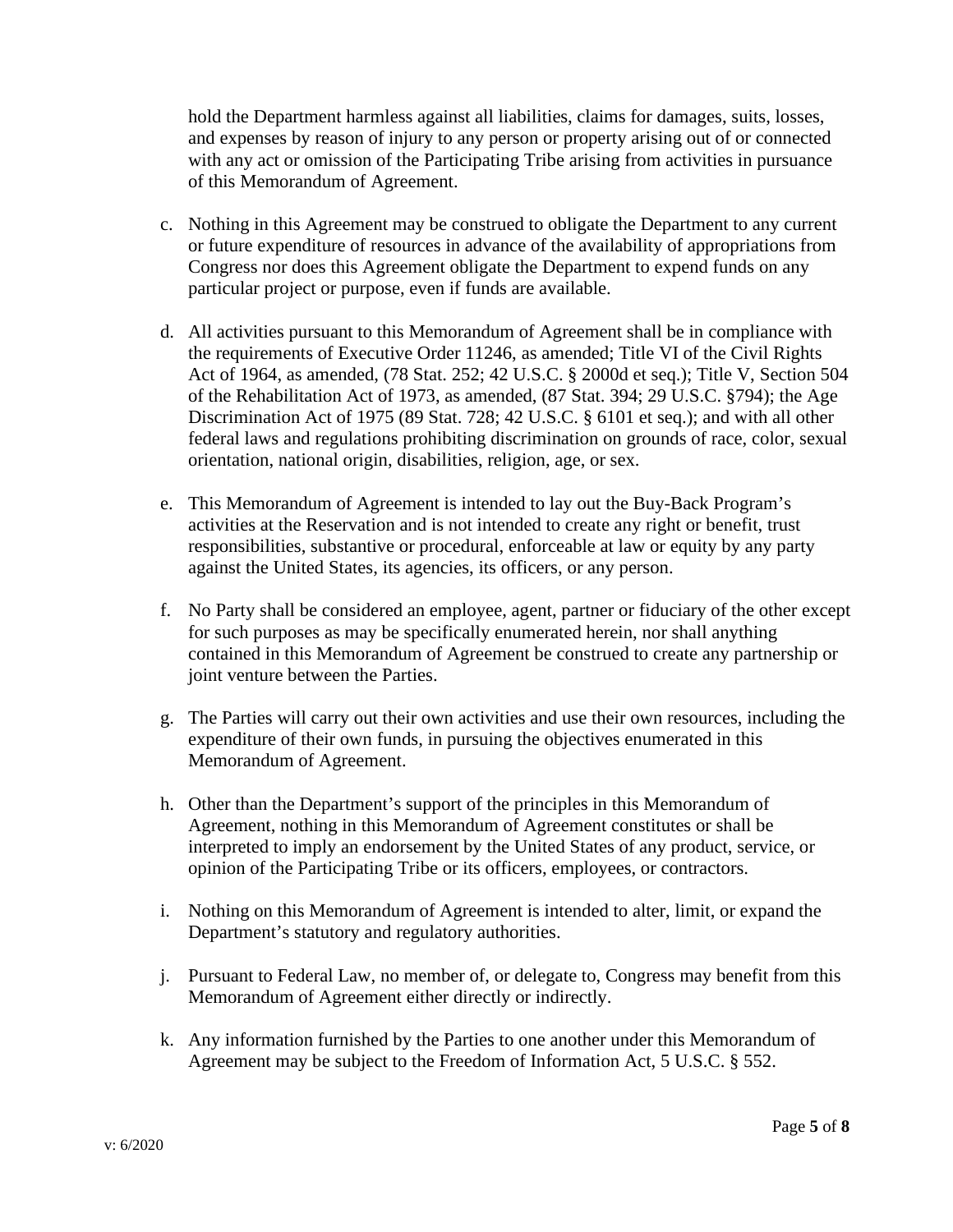hold the Department harmless against all liabilities, claims for damages, suits, losses, and expenses by reason of injury to any person or property arising out of or connected with any act or omission of the Participating Tribe arising from activities in pursuance of this Memorandum of Agreement.

- c. Nothing in this Agreement may be construed to obligate the Department to any current or future expenditure of resources in advance of the availability of appropriations from Congress nor does this Agreement obligate the Department to expend funds on any particular project or purpose, even if funds are available.
- d. All activities pursuant to this Memorandum of Agreement shall be in compliance with the requirements of Executive Order 11246, as amended; Title VI of the Civil Rights Act of 1964, as amended, (78 Stat. 252; 42 U.S.C. § 2000d et seq.); Title V, Section 504 of the Rehabilitation Act of 1973, as amended, (87 Stat. 394; 29 U.S.C. §794); the Age Discrimination Act of 1975 (89 Stat. 728; 42 U.S.C. § 6101 et seq.); and with all other federal laws and regulations prohibiting discrimination on grounds of race, color, sexual orientation, national origin, disabilities, religion, age, or sex.
- e. This Memorandum of Agreement is intended to lay out the Buy-Back Program's activities at the Reservation and is not intended to create any right or benefit, trust responsibilities, substantive or procedural, enforceable at law or equity by any party against the United States, its agencies, its officers, or any person.
- f. No Party shall be considered an employee, agent, partner or fiduciary of the other except for such purposes as may be specifically enumerated herein, nor shall anything contained in this Memorandum of Agreement be construed to create any partnership or joint venture between the Parties.
- g. The Parties will carry out their own activities and use their own resources, including the expenditure of their own funds, in pursuing the objectives enumerated in this Memorandum of Agreement.
- h. Other than the Department's support of the principles in this Memorandum of Agreement, nothing in this Memorandum of Agreement constitutes or shall be interpreted to imply an endorsement by the United States of any product, service, or opinion of the Participating Tribe or its officers, employees, or contractors.
- i. Nothing on this Memorandum of Agreement is intended to alter, limit, or expand the Department's statutory and regulatory authorities.
- j. Pursuant to Federal Law, no member of, or delegate to, Congress may benefit from this Memorandum of Agreement either directly or indirectly.
- k. Any information furnished by the Parties to one another under this Memorandum of Agreement may be subject to the Freedom of Information Act, 5 U.S.C. § 552.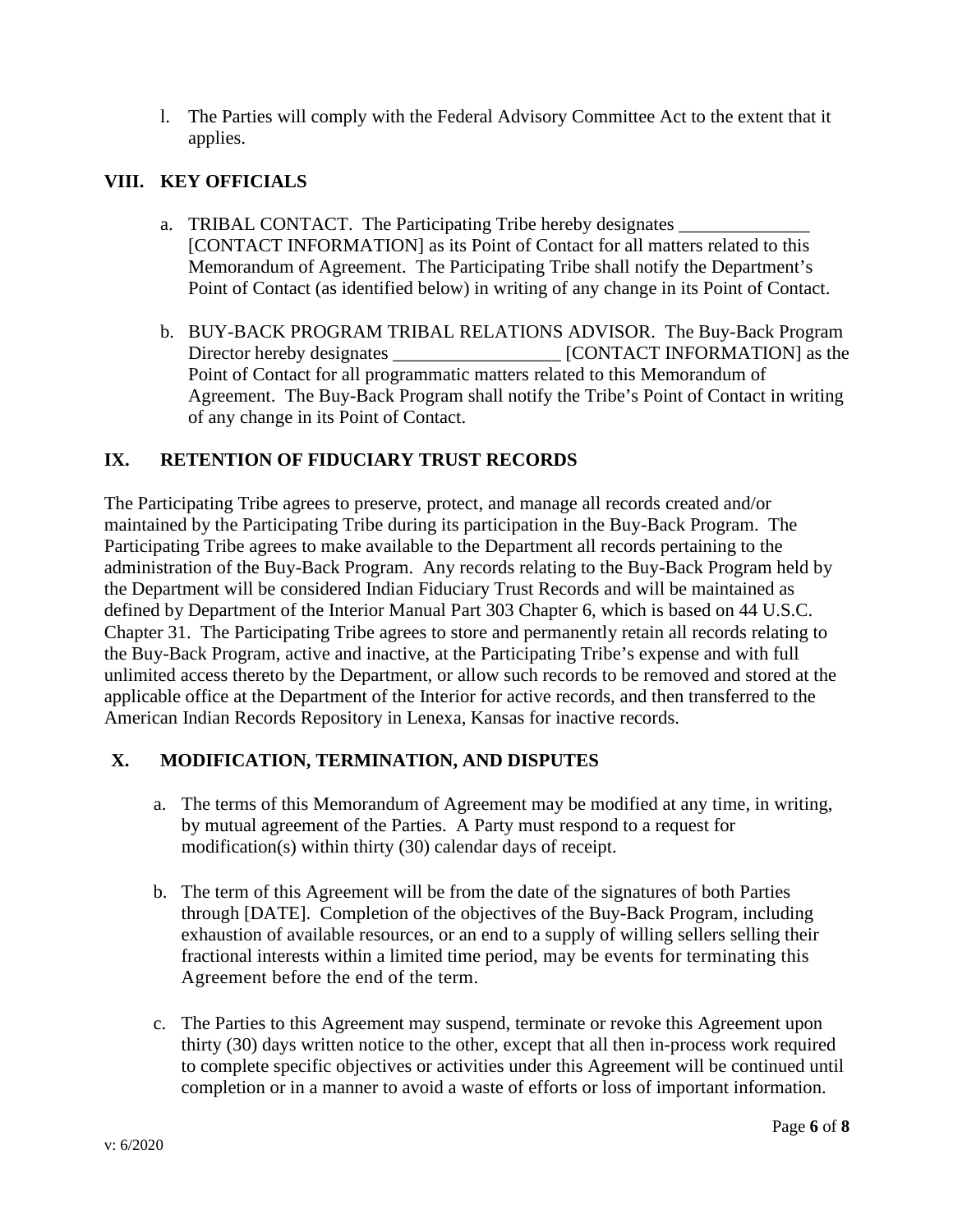l. The Parties will comply with the Federal Advisory Committee Act to the extent that it applies.

## **VIII. KEY OFFICIALS**

- a. **TRIBAL CONTACT.** The Participating Tribe hereby designates [CONTACT INFORMATION] as its Point of Contact for all matters related to this Memorandum of Agreement. The Participating Tribe shall notify the Department's Point of Contact (as identified below) in writing of any change in its Point of Contact.
- b. BUY-BACK PROGRAM TRIBAL RELATIONS ADVISOR.The Buy-Back Program Director hereby designates \_\_\_\_\_\_\_\_\_\_\_\_\_\_\_\_\_\_\_\_ [CONTACT INFORMATION] as the Point of Contact for all programmatic matters related to this Memorandum of Agreement. The Buy-Back Program shall notify the Tribe's Point of Contact in writing of any change in its Point of Contact.

## **IX. RETENTION OF FIDUCIARY TRUST RECORDS**

The Participating Tribe agrees to preserve, protect, and manage all records created and/or maintained by the Participating Tribe during its participation in the Buy-Back Program. The Participating Tribe agrees to make available to the Department all records pertaining to the administration of the Buy-Back Program. Any records relating to the Buy-Back Program held by the Department will be considered Indian Fiduciary Trust Records and will be maintained as defined by Department of the Interior Manual Part 303 Chapter 6, which is based on 44 U.S.C. Chapter 31. The Participating Tribe agrees to store and permanently retain all records relating to the Buy-Back Program, active and inactive, at the Participating Tribe's expense and with full unlimited access thereto by the Department, or allow such records to be removed and stored at the applicable office at the Department of the Interior for active records, and then transferred to the American Indian Records Repository in Lenexa, Kansas for inactive records.

## **X. MODIFICATION, TERMINATION, AND DISPUTES**

- a. The terms of this Memorandum of Agreement may be modified at any time, in writing, by mutual agreement of the Parties. A Party must respond to a request for modification(s) within thirty (30) calendar days of receipt.
- b. The term of this Agreement will be from the date of the signatures of both Parties through [DATE]. Completion of the objectives of the Buy-Back Program, including exhaustion of available resources, or an end to a supply of willing sellers selling their fractional interests within a limited time period, may be events for terminating this Agreement before the end of the term.
- c. The Parties to this Agreement may suspend, terminate or revoke this Agreement upon thirty (30) days written notice to the other, except that all then in-process work required to complete specific objectives or activities under this Agreement will be continued until completion or in a manner to avoid a waste of efforts or loss of important information.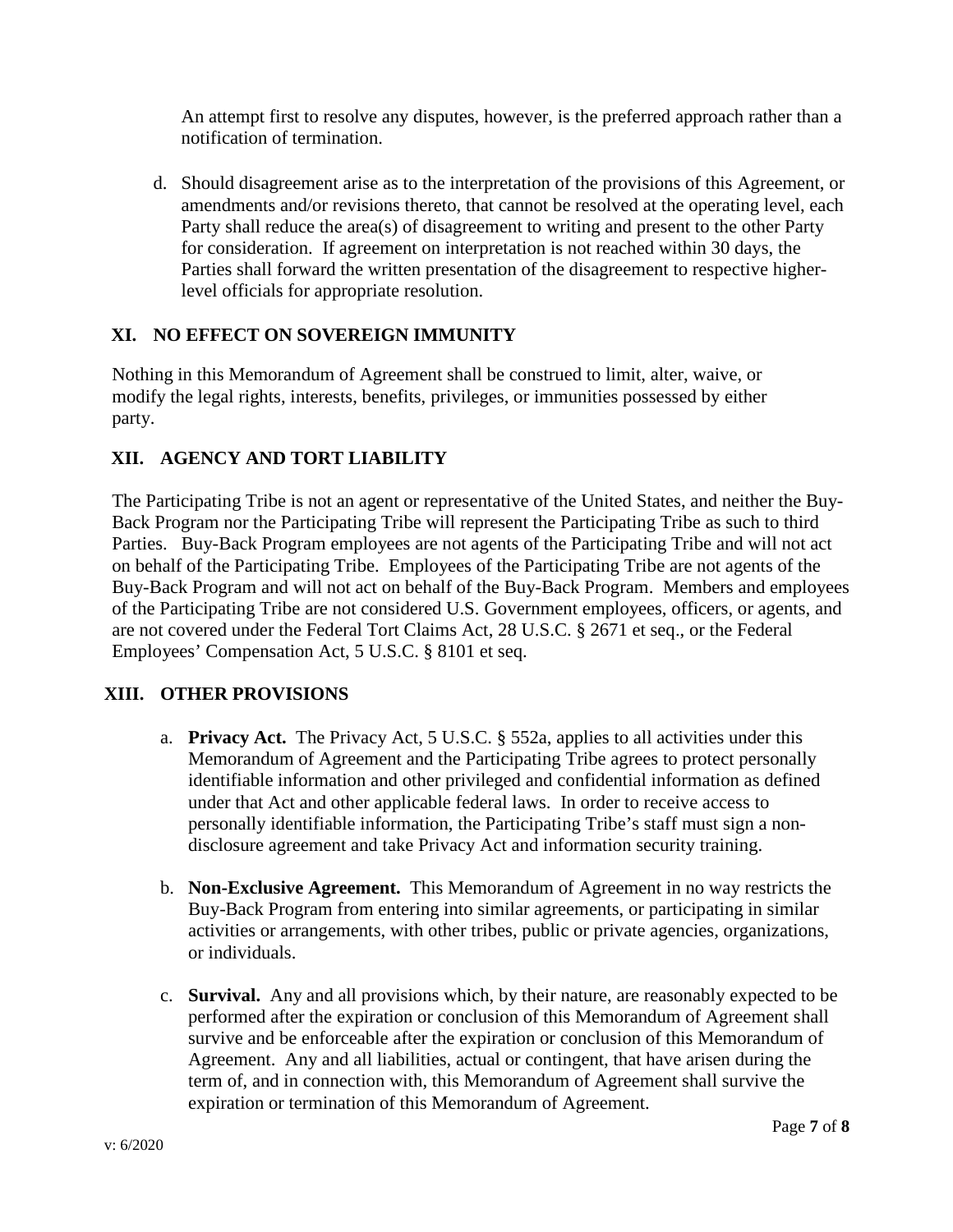An attempt first to resolve any disputes, however, is the preferred approach rather than a notification of termination.

d. Should disagreement arise as to the interpretation of the provisions of this Agreement, or amendments and/or revisions thereto, that cannot be resolved at the operating level, each Party shall reduce the area(s) of disagreement to writing and present to the other Party for consideration. If agreement on interpretation is not reached within 30 days, the Parties shall forward the written presentation of the disagreement to respective higherlevel officials for appropriate resolution.

# **XI. NO EFFECT ON SOVEREIGN IMMUNITY**

Nothing in this Memorandum of Agreement shall be construed to limit, alter, waive, or modify the legal rights, interests, benefits, privileges, or immunities possessed by either party.

# **XII. AGENCY AND TORT LIABILITY**

The Participating Tribe is not an agent or representative of the United States, and neither the Buy-Back Program nor the Participating Tribe will represent the Participating Tribe as such to third Parties. Buy-Back Program employees are not agents of the Participating Tribe and will not act on behalf of the Participating Tribe. Employees of the Participating Tribe are not agents of the Buy-Back Program and will not act on behalf of the Buy-Back Program. Members and employees of the Participating Tribe are not considered U.S. Government employees, officers, or agents, and are not covered under the Federal Tort Claims Act, 28 U.S.C. § 2671 et seq., or the Federal Employees' Compensation Act, 5 U.S.C. § 8101 et seq.

## **XIII. OTHER PROVISIONS**

- a. **Privacy Act.** The Privacy Act, 5 U.S.C. § 552a, applies to all activities under this Memorandum of Agreement and the Participating Tribe agrees to protect personally identifiable information and other privileged and confidential information as defined under that Act and other applicable federal laws. In order to receive access to personally identifiable information, the Participating Tribe's staff must sign a nondisclosure agreement and take Privacy Act and information security training.
- b. **Non-Exclusive Agreement.** This Memorandum of Agreement in no way restricts the Buy-Back Program from entering into similar agreements, or participating in similar activities or arrangements, with other tribes, public or private agencies, organizations, or individuals.
- c. **Survival.** Any and all provisions which, by their nature, are reasonably expected to be performed after the expiration or conclusion of this Memorandum of Agreement shall survive and be enforceable after the expiration or conclusion of this Memorandum of Agreement. Any and all liabilities, actual or contingent, that have arisen during the term of, and in connection with, this Memorandum of Agreement shall survive the expiration or termination of this Memorandum of Agreement.